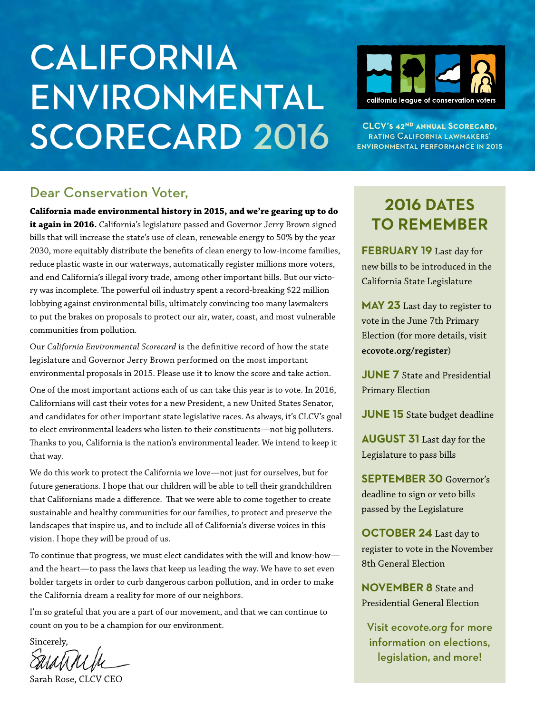# **CALIFORNIA** Environmental SCORECARD 2016 **CLCV'S 42<sup>ND</sup> ANNUAL SCORECARD,**  $\sum_{\text{EAYING CALIFORNIAL LAWMAKERS'}$



rating California lawmakers' environmental performance in 2015

### Dear Conservation Voter,

**California made environmental history in 2015, and we're gearing up to do it again in 2016.** California's legislature passed and Governor Jerry Brown signed bills that will increase the state's use of clean, renewable energy to 50% by the year 2030, more equitably distribute the benefits of clean energy to low-income families, reduce plastic waste in our waterways, automatically register millions more voters, and end California's illegal ivory trade, among other important bills. But our victory was incomplete. The powerful oil industry spent a record-breaking \$22 million lobbying against environmental bills, ultimately convincing too many lawmakers to put the brakes on proposals to protect our air, water, coast, and most vulnerable communities from pollution.

Our *California Environmental Scorecard* is the definitive record of how the state legislature and Governor Jerry Brown performed on the most important environmental proposals in 2015. Please use it to know the score and take action.

One of the most important actions each of us can take this year is to vote. In 2016, Californians will cast their votes for a new President, a new United States Senator, and candidates for other important state legislative races. As always, it's CLCV's goal to elect environmental leaders who listen to their constituents—not big polluters. Thanks to you, California is the nation's environmental leader. We intend to keep it that way.

We do this work to protect the California we love—not just for ourselves, but for future generations. I hope that our children will be able to tell their grandchildren that Californians made a difference. That we were able to come together to create sustainable and healthy communities for our families, to protect and preserve the landscapes that inspire us, and to include all of California's diverse voices in this vision. I hope they will be proud of us.

To continue that progress, we must elect candidates with the will and know-how and the heart—to pass the laws that keep us leading the way. We have to set even bolder targets in order to curb dangerous carbon pollution, and in order to make the California dream a reality for more of our neighbors.

I'm so grateful that you are a part of our movement, and that we can continue to count on you to be a champion for our environment.

Sincerely,

Sarah Rose, CLCV CEO

## **2016 Dates to remember**

**February 19** Last day for new bills to be introduced in the California State Legislature

**May 23** Last day to register to vote in the June 7th Primary Election (for more details, visit **ecovote.org/register**)

**JUNE 7** State and Presidential Primary Election

**JUNE 15** State budget deadline

**August 31** Last day for the Legislature to pass bills

**September 30** Governor's deadline to sign or veto bills passed by the Legislature

**OCTOBER 24** Last day to register to vote in the November 8th General Election

**November 8** State and Presidential General Election

Visit *ecovote.org* for more information on elections, legislation, and more!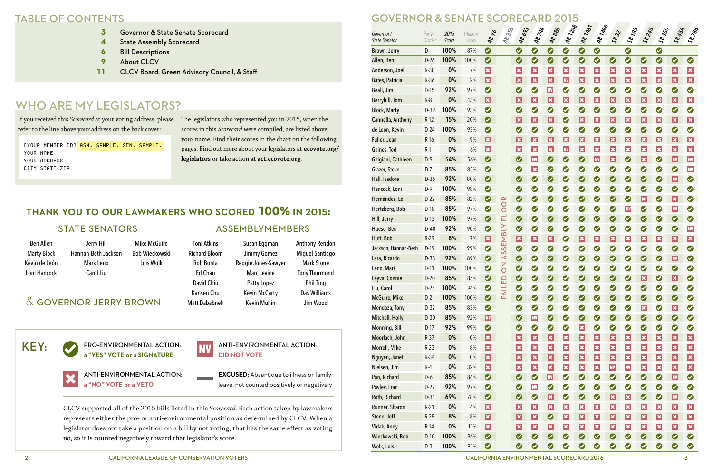- **3** Governor & State Senate Scorecard
- **4** State Assembly Scorecard
- **6** Bill Descriptions
- **9** About CLCV
- **11** CLCV Board, Green Advisory Council, & Staff

## WHO ARE MY LEGISLATORS?

|                                   | JU<br>V<br>ERNUR<br>$\boldsymbol{\alpha}$<br><b>JENA</b><br>AK<br>ZU |               |                   |                         |                |                             |                             |                 |                 |                             |                           |                |                 |                 |                          |                |                          |
|-----------------------------------|----------------------------------------------------------------------|---------------|-------------------|-------------------------|----------------|-----------------------------|-----------------------------|-----------------|-----------------|-----------------------------|---------------------------|----------------|-----------------|-----------------|--------------------------|----------------|--------------------------|
| Governor/<br><b>State Senator</b> | Party-<br>District                                                   | 2015<br>Score | Lifetime<br>Score | <b>AB 26</b>            | 48356          | <b>AB 693</b>               | <b>AB 744</b>               | <b>48 888</b>   | 481288          | <b>AB 1461</b>              | <b>481496</b>             | $S_{8}32$      | <b>SB 185</b>   | 58248           | <b>SB 350</b>            | <b>SB 454</b>  | SB <sub>788</sub>        |
| Brown, Jerry                      | D                                                                    | 100%          | 87%               | $\bullet$               |                | $\bullet$                   | $\bullet$                   | $\bullet$       | $\bullet$       | $\bullet$                   | $\bullet$                 |                | $\bullet$       |                 | $\bullet$                |                |                          |
| Allen, Ben                        | $D-26$                                                               | 100%          | 100%              | $\bullet$               |                | $\bullet$                   | $\bullet$                   | $\bullet$       | $\bullet$       | 0                           | $\bullet$                 | $\bullet$      | $\bullet$       | $\bullet$       | $\bullet$                | $\bullet$      | $\bullet$                |
| Anderson, Joel                    | R-38                                                                 | 0%            | 7%                | $ \mathbf{x} $          |                | $ \mathbf{x} $              | $ \boldsymbol{\mathsf{x}} $ | $ \mathbf{x} $  | $ \mathbf{x} $  | $ \boldsymbol{\mathsf{x}} $ | $\boldsymbol{\mathsf{x}}$ | $ \mathbf{x} $ | $\vert x \vert$ | $ \mathbf{x} $  | $\vert x \vert$          | $ \mathbf{x} $ | $ \mathbf{x} $           |
| Bates, Patricia                   | $R-36$                                                               | 0%            | 2%                | $\overline{\mathbf{x}}$ |                | $ \mathbf{x} $              | $ \boldsymbol{\mathsf{x}} $ | $ \mathbf{x} $  | <b>NV</b>       | $ \boldsymbol{\mathsf{x}} $ | $ \mathbf{x} $            | $ \mathbf{x} $ | $\vert x \vert$ | $ \mathbf{x} $  | $\vert x \vert$          | $ \mathbf{x} $ | $ \mathbf{x} $           |
| Beall, Jim                        | $D-15$                                                               | 92%           | 97%               | $\bullet$               |                | $\bullet$                   | $\bullet$                   | <b>NV</b>       | $\bullet$       | $\bullet$                   | $\bullet$                 | $\bullet$      | Ø               | $\bullet$       | $\bullet$                | $\bullet$      | $\bullet$                |
| <b>Berryhill, Tom</b>             | $R-8$                                                                | 0%            | 13%               | $ \mathbf{x} $          |                | $ \mathbf{x} $              | $ \boldsymbol{\mathsf{x}} $ | $ \mathbf{x} $  | $ \mathbf{x} $  | $ \boldsymbol{\mathsf{x}} $ | $ \mathbf{x} $            | $ \mathbf{x} $ | $\vert x \vert$ | $ \mathbf{x} $  | $\vert x \vert$          | $ \mathbf{x} $ | $ \mathbf{x} $           |
| <b>Block, Marty</b>               | D-39                                                                 | 100%          | 93%               | $\bullet$               |                | $\bullet$                   | $\bullet$                   | $\bullet$       | $\bullet$       | $\bullet$                   | $\bullet$                 | $\bullet$      | $\bullet$       | $\bullet$       | $\bullet$                | $\bullet$      | $\bullet$                |
| Cannella, Anthony                 | $R-12$                                                               | 15%           | 20%               | $\bullet$               |                | $ \mathbf{x} $              | $ \boldsymbol{\mathsf{x}} $ | $ \mathbf{x} $  | $\bullet$       | $ \boldsymbol{\mathsf{x}} $ | $ \mathbf{x} $            | $ \mathbf{x} $ | $\vert x \vert$ | $ \mathbf{x} $  | $\vert x \vert$          | $ \mathbf{x} $ | $ \mathbf{x} $           |
| de León, Kevin                    | $D-24$                                                               | 100%          | 93%               | $\bullet$               |                | $\bullet$                   | $\bullet$                   | $\bullet$       | $\bullet$       | $\bullet$                   | $\bullet$                 | $\bullet$      | $\bullet$       | $\bullet$       | $\bullet$                | $\bullet$      | $\bullet$                |
| Fuller, Jean                      | $R-16$                                                               | 0%            | 9%                | $ \mathbf{x} $          |                | $ \mathbf{x} $              | $ \boldsymbol{\mathsf{x}} $ | $ \mathbf{x} $  | $ \mathbf{x} $  | $ \boldsymbol{\mathsf{x}} $ | $ \mathbf{x} $            | $ \mathbf{x} $ | $\vert x \vert$ | $ \mathbf{x} $  | $\vert x \vert$          | $ \mathbf{x} $ | $ \mathbf{x} $           |
| Gaines, Ted                       | $R-1$                                                                | 0%            | 6%                | $ \mathbf{x} $          |                | $ \mathbf{x} $              | $ \boldsymbol{\mathsf{x}} $ | $ \mathbf{x} $  | <b>NV</b>       | $ \boldsymbol{\mathsf{x}} $ | $\boldsymbol{\mathsf{x}}$ | $ \mathbf{x} $ | $\vert x \vert$ | $ \mathbf{x} $  | $\vert \mathbf{x} \vert$ | $ \mathbf{x} $ | $ \mathbf{x} $           |
| Galgiani, Cathleen                | $D-5$                                                                | 54%           | 56%               | $\bullet$               |                | $\bullet$                   | <b>NV</b>                   | $\bullet$       | $\bullet$       | $\bullet$                   | <b>NV</b>                 | $ \mathbf{x} $ | $\bullet$       | $ \mathbf{x} $  | Ø                        | <b>NV</b>      | <b>NV</b>                |
| Glazer, Steve                     | $D-7$                                                                | 85%           | 85%               | $\bullet$               |                | $\bullet$                   | $ \boldsymbol{\mathsf{x}} $ | $\bullet$       | $\bullet$       | $\bullet$                   | $\bullet$                 | $\bullet$      | $\bullet$       | $\bullet$       | $\bullet$                | $\bullet$      | <b>NV</b>                |
| Hall, Isadore                     | $D-35$                                                               | 92%           | 80%               | $\bullet$               |                | $\bullet$                   | $\bullet$                   | $\bullet$       | $\bullet$       | $\bullet$                   | $\bullet$                 | $\bullet$      | $\bullet$       | $\bullet$       | $\bullet$                | <b>NV</b>      | $\bullet$                |
| Hancock, Loni                     | $D-9$                                                                | 100%          | 98%               | $\bullet$               |                | $\bullet$                   | $\bullet$                   | $\bullet$       | $\bullet$       | $\bullet$                   | $\bullet$                 | $\bullet$      | $\bullet$       | $\bullet$       | $\bullet$                | $\bullet$      | $\bullet$                |
| Hernández, Ed                     | $D-22$                                                               | 85%           | 82%               | $\bullet$               |                | $\bullet$                   | $\bullet$                   | $\bullet$       | $\bullet$       | $\bullet$                   | $\bullet$                 | $\bullet$      | $\bullet$       | $ \mathbf{x} $  | Ø                        | $ \mathbf{x} $ | $\bullet$                |
| Hertzberg, Bob                    | $D-18$                                                               | 85%           | 97%               | $\bullet$               | OOR            | $\bullet$                   | $\bullet$                   | $\bullet$       | $\bullet$       | $\bullet$                   | $\bullet$                 | $\bullet$      | <b>NV</b>       | $\bullet$       | $\bullet$                | <b>NV</b>      | $\bullet$                |
| Hill, Jerry                       | $D-13$                                                               | 100%          | 97%               | $\bullet$               | 군              | $\bullet$                   | $\bullet$                   | $\bullet$       | $\bullet$       | $\bullet$                   | $\bullet$                 | $\bullet$      | $\bullet$       | $\bullet$       | $\bullet$                | $\bullet$      | $\bullet$                |
| Hueso, Ben                        | $D-40$                                                               | 92%           | 90%               | $\bullet$               |                | Ø                           | $\bullet$                   | $\bullet$       | $\bullet$       | $\bullet$                   | $\bullet$                 | $\bullet$      | $\bullet$       | $\bullet$       | $\bullet$                | $\bullet$      | <b>NV</b>                |
| Huff, Bob                         | $R-29$                                                               | 8%            | 7%                | $\overline{\mathbf{x}}$ | SEMBLY         | $\vert \mathbf{x} \vert$    | $ \boldsymbol{\mathsf{x}} $ | $ \mathbf{x} $  | $\bullet$       | $ \boldsymbol{\mathsf{x}} $ | $\vert x \vert$           | $ \mathbf{x} $ | $\vert x \vert$ | $ \mathbf{x} $  | $\vert x \vert$          | $ \mathbf{x} $ | $ \mathbf{x} $           |
| Jackson, Hannah-Beth              | $D-19$                                                               | 100%          | 99%               | $\bullet$               |                | $\bullet$                   | $\bullet$                   | $\bullet$       | $\bullet$       | $\bullet$                   | $\bullet$                 | $\bullet$      | Ø               | $\bullet$       | Ø                        | $\bullet$      | $\bullet$                |
| Lara, Ricardo                     | $D-33$                                                               | 92%           | 89%               | $\bullet$               | S<br>⋖         | $\bullet$                   | Ø                           | Ø               | $\bullet$       | $\bullet$                   | Ø                         | Ø              | Ø               | $\bullet$       | Ø                        | <b>NV</b>      | $\bullet$                |
| Leno, Mark                        | $D-11$                                                               | 100%          | 100%              | $\bullet$               | $\overline{0}$ | $\bullet$                   | $\bullet$                   | $\bullet$       | $\bullet$       | $\bullet$                   | $\bullet$                 | $\bullet$      | $\bullet$       | $\bullet$       | $\bullet$                | Ø              | $\bullet$                |
| Leyva, Connie                     | $D-20$                                                               | 85%           | 85%               | $\bullet$               |                | $\bullet$                   | $\bullet$                   | $\bullet$       | $\bullet$       | $\bullet$                   | $\bullet$                 | $\bullet$      | $\bullet$       | $\vert x \vert$ | $\bullet$                | $ \mathbf{x} $ | $\bullet$                |
| Liu, Carol                        | $D-25$                                                               | 100%          | 94%               | $\bullet$               | FAILED         | $\bullet$                   | $\bullet$                   | $\bullet$       | $\bullet$       | $\bullet$                   | $\bullet$                 | 0              | 0               | $\bullet$       | $\bullet$                | $\bullet$      | $\bullet$                |
| McGuire, Mike                     | $D-2$                                                                | 100%          | 100%              | $\bullet$               |                | $\bullet$                   | $\bullet$                   | $\bullet$       | $\bullet$       | $\bullet$                   | $\bullet$                 | $\bullet$      | $\bullet$       | $\bullet$       | $\bullet$                | $\bullet$      | $\bullet$                |
| Mendoza, Tony                     | $D-32$                                                               | 85%           | 83%               | $\bullet$               |                | 0                           | $\bullet$                   | $\bullet$       | $\bullet$       | $\bullet$                   | $\bullet$                 | $\bullet$      | 0               | $\vert x \vert$ | $\bullet$                | $ \mathbf{x} $ | $\bullet$                |
| Mitchell, Holly                   | $D-30$                                                               | 85%           | 92%               | $\vert$ NV $\vert$      |                | $\bullet$                   | <b>NV</b>                   | $\bullet$       | $\bullet$       | $\bullet$                   | $\bullet$                 | $\bullet$      | $\bullet$       | $\bullet$       | $\bullet$                | $\bullet$      | $\bullet$                |
| <b>Monning, Bill</b>              | $D-17$                                                               | 92%           | 99%               | $\bullet$               |                | 0                           | $\bullet$                   | $\bullet$       | $\bullet$       | $\vert x \vert$             | $\bullet$                 | 0              | 0               | $\bullet$       | $\bullet$                | $\bullet$      | $\bullet$                |
| Moorlach, John                    | $R-37$                                                               | 0%            | $0\%$             | $\vert x \vert$         |                | $\vert x \vert$             | $ \mathbf{x} $              | $\vert x \vert$ | $\vert x \vert$ | $ \mathbf{x} $              | $ \mathbf{x} $            | $ \mathbf{x} $ | $\vert x \vert$ | $\vert x \vert$ | $\vert x \vert$          | $ \mathbf{x} $ | $\vert x \vert$          |
| Morrell, Mike                     | $R-23$                                                               | 0%            | 8%                | $\vert x \vert$         |                | $\vert x \vert$             | $ \boldsymbol{\mathsf{x}} $ | $ \mathbf{x} $  | $\vert x \vert$ | $ \mathbf{x} $              | $ \mathbf{x} $            | $ \mathbf{x} $ | $ \mathbf{x} $  | $ \mathbf{x} $  | $ \mathbf{x} $           | $ \mathbf{x} $ | $\vert x \vert$          |
| Nguyen, Janet                     | $R-34$                                                               | 0%            | $0\%$             | $\mathbf{x}$            |                | $\vert x \vert$             | $ \boldsymbol{\mathsf{x}} $ | $ \mathbf{x} $  | $\vert x \vert$ | $ \mathbf{x} $              | $ \mathbf{x} $            | $ \mathbf{x} $ | $\vert x \vert$ | $\vert x \vert$ | $\vert x \vert$          | $ \mathbf{x} $ | $\vert \mathbf{x} \vert$ |
| Nielsen, Jim                      | $R-4$                                                                | 0%            | 32%               | $\vert x \vert$         |                | $\vert x \vert$             | $ \boldsymbol{\mathsf{x}} $ | $ \mathbf{x} $  | $\vert x \vert$ | $ \mathbf{x} $              | $ \mathbf{x} $            | <b>NV</b>      | <b>NV</b>       | $\vert x \vert$ | $ \mathbf{x} $           | $ \mathbf{x} $ | $\vert x \vert$          |
| Pan, Richard                      | $D-6$                                                                | 85%           | 84%               | $\bullet$               |                | $\bullet$                   | $\bullet$                   | <b>NV</b>       | $\bullet$       | $\bullet$                   | $\bullet$                 | $\bullet$      | $\bullet$       | $\bullet$       | $\bullet$                | <b>NV</b>      | $\bullet$                |
| Pavley, Fran                      | $D-27$                                                               | 92%           | 97%               | $\bullet$               |                | 0                           | <b>NV</b>                   | $\bullet$       | $\bullet$       | $\bullet$                   | $\bullet$                 | $\bullet$      | 0               | $\bullet$       | $\bullet$                | $\bullet$      | $\bullet$                |
| Roth, Richard                     | $D-31$                                                               | 69%           | 78%               | $\bullet$               |                | $\bullet$                   | $\bullet$                   | $\vert x \vert$ | $\bullet$       | $\bullet$                   | $\bullet$                 | $ \mathbf{x} $ | $\vert x \vert$ | $\bullet$       | $\bullet$                | <b>NV</b>      | $\bullet$                |
| Runner, Sharon                    | $R-21$                                                               | 0%            | 4%                | $\vert x \vert$         |                | $\vert x \vert$             | $ \boldsymbol{\mathsf{x}} $ | $\vert x \vert$ | $\vert x \vert$ | $\vert x \vert$             | $\vert x \vert$           | $ \mathbf{x} $ | $\vert x \vert$ | $\vert x \vert$ | $\vert x \vert$          | $ \mathbf{x} $ | $\vert x \vert$          |
| Stone, Jeff                       | $R-28$                                                               | 8%            | 8%                | $\mathbf{x}$            |                | $\vert x \vert$             | $ \mathbf{x} $              | $\bullet$       | $\vert x \vert$ | $ \mathbf{x} $              | $ \mathbf{x} $            | $ \mathbf{x} $ | $\vert x \vert$ | $\vert x \vert$ | $\vert x \vert$          | $ \mathbf{x} $ | $\vert x \vert$          |
| Vidak, Andy                       | $R-14$                                                               | 0%            | 11%               | $\vert x \vert$         |                | $ \boldsymbol{\mathsf{x}} $ | $ \boldsymbol{\mathsf{x}} $ | $ \mathbf{x} $  | $\vert x \vert$ | $ \mathbf{x} $              | $ \mathbf{x} $            | $ \mathbf{x} $ | $ \mathbf{x} $  | $ \mathbf{x} $  | $ \mathbf{x} $           | $ \mathbf{x} $ | $\vert x \vert$          |
| Wieckowski, Bob                   | $D-10$                                                               | 100%          | 96%               | $\bullet$               |                | $\bullet$                   | $\bullet$                   | $\bullet$       | $\bullet$       | $\bullet$                   | $\bullet$                 | $\bullet$      | $\bullet$       | $\bullet$       | $\bullet$                | $\bullet$      | $\bullet$                |
| Wolk, Lois                        | $D-3$                                                                | 100%          | 91%               | $\bullet$               |                | $\bullet$                   | $\bullet$                   | $\bullet$       | $\bullet$       | $\bullet$                   | $\bullet$                 | $\bullet$      | Ø               | $\bullet$       | $\bullet$                | $\bullet$      | $\bullet$                |

## TABLE OF CONTENTS GOVERNOR & SENATE SCORECARD 2015

2 CALIFORNIA LEAGUE OF CONSERVATION VOTERS CALIFORNIA ENVIRONMENTAL SCORECARD 2016 3

PRO-ENVIRONMENTAL ACTION: **a "YES" VOTE or a SIGNATURE**

[YOUR MEMBER ID] ASM. SAMPLE, SEN. SAMPLE. Your name your address city state zip

> ANTI-ENVIRONMENTAL ACTION: **a "NO" VOTE or a VETO**



ANTI-ENVIRONMENTAL ACTION: **DID NOT VOTE**

**EXCUSED:** Absent due to illness or family leave; not counted positively or negatively

CLCV supported all of the 2015 bills listed in this *Scorecard*. Each action taken by lawmakers represents either the pro- or anti-environmental position as determined by CLCV. When a legislator does not take a position on a bill by not voting, that has the same effect as voting no, so it is counted negatively toward that legislator's score.

Toni Atkins Richard Bloom Rob Bonta Ed Chau David Chiu Kansen Chu Matt Dababneh

Susan Eggman Jimmy Gomez Reggie Jones-Sawyer Marc Levine Patty Lopez Kevin McCarty Kevin Mullin

Anthony Rendon Miguel Santiago Mark Stone Tony Thurmond Phil Ting Das Williams Jim Wood

Ben Allen Marty Block Kevin de León Loni Hancock

Jerry Hill Hannah-Beth Jackson Mark Leno Carol Liu Mike McGuire Bob Wieckowski Lois Wolk

## thank you to our lawmakers who scored **100%** in 2015**:**

## & governor jerry brown

#### STATE SENATORS ASSEMBLYMEMBERS

If you received this *Scorecard* at your voting address, please refer to the line above your address on the back cover:

The legislators who represented you in 2015, when the scores in this *Scorecard* were compiled, are listed above your name. Find their scores in the chart on the following pages. Find out more about your legislators at **ecovote.org/ legislators** or take action at **act.ecovote.org**.

## key: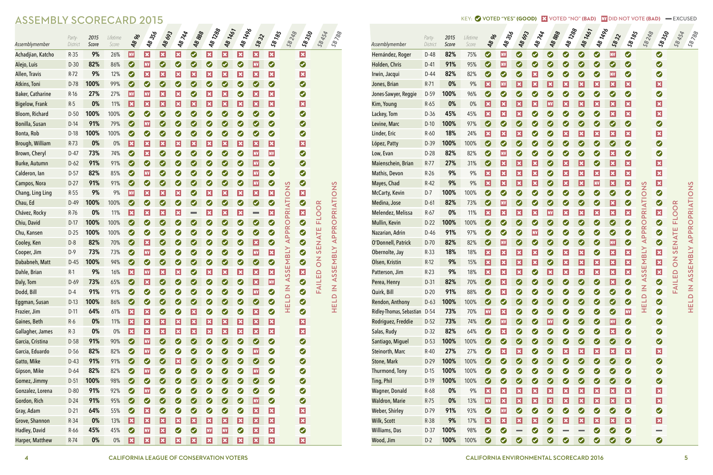| Assemblymember           | Party-<br>District | 2015<br>Score | Lifetime<br>Score | <b>AB 26</b>                | <b>48356</b>                | 48693                       | <b>AB744</b>                | 48888                       | <b>481288</b>               | 481467                     | <b>481496</b>               | 5832                        | <b>SB185</b>                | 58 248                | <b>SB</b> 350           | <b>SB 454</b>  | 58788                         |
|--------------------------|--------------------|---------------|-------------------|-----------------------------|-----------------------------|-----------------------------|-----------------------------|-----------------------------|-----------------------------|----------------------------|-----------------------------|-----------------------------|-----------------------------|-----------------------|-------------------------|----------------|-------------------------------|
| Hernández, Roger         | $D-48$             | 82%           | 75%               | $\bullet$                   | <b>NV</b>                   | $\bullet$                   | $\bullet$                   | $\bullet$                   | $\bullet$                   | $\bullet$                  | $\bullet$                   | <b>NV</b>                   | $\bullet$                   |                       | $\bullet$               |                |                               |
| Holden, Chris            | $D-41$             | 91%           | 95%               | $\bullet$                   | <b>NV</b>                   | $\bullet$                   | $\bullet$                   | $\bullet$                   | $\bullet$                   | $\bullet$                  | $\bullet$                   | $\bullet$                   | $\bullet$                   |                       | $\bullet$               |                |                               |
| Irwin, Jacqui            | D-44               | 82%           | 82%               | $\bullet$                   | $\bullet$                   | $\bullet$                   | $ \boldsymbol{\mathsf{x}} $ | $\bullet$                   | $\bullet$                   | $\bullet$                  | $\bullet$                   | <b>NV</b>                   | $\bullet$                   |                       | $\bullet$               |                |                               |
| Jones, Brian             | $R-71$             | 0%            | 9%                | $ \mathbf{x} $              | <b>NV</b>                   | $ \mathbf{x} $              | $ \boldsymbol{\mathsf{x}} $ | $ \mathbf{x} $              | $ \mathbf{x} $              | $ \mathbf{x} $             | $ \boldsymbol{\mathsf{x}} $ | $ \mathbf{x} $              | $ \boldsymbol{\mathsf{x}} $ |                       | $\vert x \vert$         |                |                               |
| Jones-Sawyer, Reggie     | $D-59$             | 100%          | 96%               | $\bullet$                   | $\bullet$                   | $\bullet$                   | $\bullet$                   | $\bullet$                   | $\bullet$                   | $\bullet$                  | $\bullet$                   | $\bullet$                   | $\bullet$                   |                       | $\bullet$               |                |                               |
| Kim, Young               | $R-65$             | 0%            | $0\%$             | $ \mathbf{x} $              | $ \mathbf{x} $              | $ \mathbf{x} $              | $ \boldsymbol{\mathsf{x}} $ | <b>NV</b>                   | $ \mathbf{x} $              | $ \mathbf{x} $             | $ \boldsymbol{\mathsf{x}} $ | $ \boldsymbol{\mathsf{x}} $ | $ \boldsymbol{\mathsf{x}} $ |                       | $\vert x \vert$         |                |                               |
| Lackey, Tom              | $D-36$             | 45%           | 45%               | $ \mathbf{x} $              | $ \boldsymbol{\mathsf{x}} $ | $ \mathbf{x} $              | $\bullet$                   | $\bullet$                   | $\bullet$                   | $\bullet$                  | $\bullet$                   | $ \boldsymbol{\mathsf{x}} $ | $ \boldsymbol{\mathsf{x}} $ |                       | $\vert x \vert$         |                |                               |
| Levine, Marc             | $D-10$             | 100%          | 97%               | $\bullet$                   | $\bullet$                   | $\bullet$                   | $\bullet$                   | $\bullet$                   | $\bullet$                   | $\bullet$                  | $\bullet$                   | $\bullet$                   | $\bullet$                   |                       | $\bullet$               |                |                               |
| Linder, Eric             | $R-60$             | 18%           | 24%               | $ \mathbf{x} $              | $ \boldsymbol{\mathsf{x}} $ | $ \mathbf{x} $              | $\bullet$                   | $\bullet$                   | $ \mathbf{x} $              | $ \mathbf{x} $             | $\vert x \vert$             | $ \boldsymbol{\mathsf{x}} $ | $ \boldsymbol{\mathsf{x}} $ |                       | $\vert x \vert$         |                |                               |
| López, Patty             | D-39               | 100%          | 100%              | $\bullet$                   | $\bullet$                   | $\bullet$                   | $\bullet$                   | $\bullet$                   | $\bullet$                   | $\bullet$                  | $\bullet$                   | $\bullet$                   | $\bullet$                   |                       | $\bullet$               |                |                               |
| Low, Evan                | $D-28$             | 82%           | 82%               | $\bullet$                   | <b>NV</b>                   | $\bullet$                   | $\bullet$                   | $\bullet$                   | $\bullet$                   | $\bullet$                  | $\bullet$                   | $ \mathbf{x} $              | $\bullet$                   |                       | $\bullet$               |                |                               |
| Maienschein, Brian       | $R-77$             | 27%           | 31%               | $\bullet$                   | $ \boldsymbol{\mathsf{x}} $ | $ \mathbf{x} $              | $ \boldsymbol{\mathsf{x}} $ | $\bullet$                   | $ \mathbf{x} $              | $ \mathbf{x} $             | $\bullet$                   | $ \boldsymbol{\mathsf{x}} $ | $ \mathbf{x} $              |                       | $\vert x \vert$         |                |                               |
| Mathis, Devon            | $R-26$             | 9%            | 9%                | $ \mathbf{x} $              | $ \mathbf{x} $              | $ \mathbf{x} $              | $ \mathbf{x} $              | $\bullet$                   | $ \mathbf{x} $              | $ \mathbf{x} $             | $ \mathbf{x} $              | $ \boldsymbol{\mathsf{x}} $ | $ \mathbf{x} $              |                       | $\vert x \vert$         |                |                               |
| Mayes, Chad              | $R-42$             | 9%            | 9%                | $ \mathbf{x} $              | $ \mathbf{x} $              | $ \boldsymbol{\mathsf{x}} $ | $ \mathbf{x} $              | $\bullet$                   | $ \boldsymbol{\mathsf{x}} $ | $ \mathbf{x} $             | <b>NV</b>                   | $ \boldsymbol{\mathsf{x}} $ | $ \boldsymbol{\mathsf{x}} $ |                       | $\vert x \vert$         |                |                               |
| McCarty, Kevin           | $D-7$              | 100%          | 100%              | $\bullet$                   | $\bullet$                   | $\bullet$                   | $\bullet$                   | $\bullet$                   | $\bullet$                   | $\bullet$                  | $\bullet$                   | 0                           | $\bullet$                   |                       | $\bullet$               |                |                               |
| Medina, Jose             | $D-61$             | 82%           | 73%               | $\bullet$                   | <b>NV</b>                   | $\bullet$                   | $\bullet$                   | $\bullet$                   | $\bullet$                   | $\bullet$                  | $\bullet$                   | $ \mathbf{x} $              | $\bullet$                   |                       | $\bullet$               |                |                               |
| Melendez, Melissa        | $R-67$             | 0%            | 11%               | $ \mathbf{x} $              | $ \boldsymbol{\mathsf{x}} $ | $ \mathbf{x} $              | $ \boldsymbol{\mathsf{x}} $ | <b>NV</b>                   | $ \mathbf{x} $              | $ \mathbf{x} $             | $\vert x \vert$             | $ \mathbf{x} $              | $ \mathbf{x} $              |                       | $\vert x \vert$         | <b>FLOOR</b>   |                               |
| Mullin, Kevin            | $D-22$             | 100%          | 100%              | $\bullet$                   | $\bullet$                   | $\bullet$                   | $\bullet$                   | $\bullet$                   | $\bullet$                   | $\bullet$                  | $\bullet$                   | $\bullet$                   | $\bullet$                   |                       | $\bullet$               |                |                               |
| Nazarian, Adrin          | $D-46$             | 91%           | 97%               | $\bullet$                   | $\bullet$                   | $\bullet$                   | <b>NV</b>                   | $\bullet$                   | $\bullet$                   | $\bullet$                  | $\bullet$                   | $\bullet$                   | $\bullet$                   | <b>APPROPRIATIONS</b> | $\bullet$               | <b>SENATE</b>  | APPROPRIATIONS                |
| O'Donnell, Patrick       | $D-70$             | 82%           | 82%               | $\bullet$                   | <b>NV</b>                   | $\bullet$                   | $\bullet$                   | $\bullet$                   | $\bullet$                   | $\bullet$                  | $\bullet$                   | <b>NV</b>                   | $\bullet$                   |                       | $\bullet$               |                |                               |
| Obernolte, Jay           | $R-33$             | 18%           | 18%               | $ \mathbf{x} $              | $ \boldsymbol{\mathsf{x}} $ | $ \mathbf{x} $              | $\vert x \vert$             | $\bullet$                   | $ \mathbf{x} $              | $ \mathbf{x} $             | $\bullet$                   | $ \boldsymbol{\mathsf{x}} $ | $ \mathbf{x} $              | <b>NTB</b>            | $\vert x \vert$         |                | EMBLY                         |
| Olsen, Kristin           | $R-12$             | 9%            | 15%               | $ \mathbf{x} $              | $ \mathbf{x} $              | $ \mathbf{x} $              | $ \mathbf{x} $              | $\bullet$                   | $ \mathbf{x} $              | $ \mathbf{x} $             | $ \mathbf{x} $              | $ \boldsymbol{\mathsf{x}} $ | $ \mathbf{x} $              | $\overline{\Sigma}$   | $\vert x \vert$         | $\overline{6}$ |                               |
| Patterson, Jim           | $R-23$             | 9%            | 18%               | $ \boldsymbol{\mathsf{x}} $ | $\boldsymbol{\mathsf{x}}$   | $\vert x \vert$             | $\bullet$                   | $ \mathbf{x} $              | $\vert x \vert$             | $ \boldsymbol{\varkappa} $ | $\vert x \vert$             | $\vert x \vert$             | $\overline{\mathbf{x}}$     | ပာ                    | $\overline{\mathbf{x}}$ | $\Omega$       | <b>S</b><br>$\mathbf{\Omega}$ |
| Perea, Henry             | $D-31$             | 82%           | 70%               | $\bullet$                   | $ \boldsymbol{\mathsf{x}} $ | $\bullet$                   | $\bullet$                   | $\bullet$                   | $\bullet$                   | $\bullet$                  | $\bullet$                   | $ \boldsymbol{\mathsf{x}} $ | $\bullet$                   | $\Delta S$            | $\bullet$               | <b>FAILE</b>   | $\blacktriangleleft$          |
| Quirk, Bill              | $D-20$             | 91%           | 88%               | $\bullet$                   | $\vert x \vert$             | $\bullet$                   | $\bullet$                   | $\bullet$                   | $\bullet$                   | $\bullet$                  | $\bullet$                   | $\bullet$                   | $\bullet$                   | HELD IN               | $\bullet$               |                | HELD IN                       |
| Rendon, Anthony          | $D-63$             | 100%          | 100%              | $\bullet$                   | $\bullet$                   | $\bullet$                   | $\bullet$                   | $\bullet$                   | $\bullet$                   | $\bullet$                  | $\bullet$                   | $\bullet$                   | $\bullet$                   |                       | $\bullet$               |                |                               |
| Ridley-Thomas, Sebastian | $D-54$             | 73%           | 70%               | $\vert$ NV $\vert$          | $\vert x \vert$             | $\bullet$                   | $\bullet$                   | $\bullet$                   | $\bullet$                   | $\bullet$                  | $\bullet$                   | $\bullet$                   | <b>NV</b>                   |                       | $\bullet$               |                |                               |
| Rodriguez, Freddie       | $D-52$             | 73%           | 74%               | $\bullet$                   | <b>NV</b>                   | $\bullet$                   | $\bullet$                   | <b>NV</b>                   | $\bullet$                   | $\bullet$                  | $\bullet$                   | <b>NV</b>                   | $\bullet$                   |                       | $\bullet$               |                |                               |
| Salas, Rudy              | $D-32$             | 82%           | 64%               | $\bullet$                   | $\vert x \vert$             | $\bullet$                   | $\bullet$                   | $\bullet$                   | $\bullet$                   | $\bullet$                  | $\bullet$                   | $ \mathbf{x} $              | $\bullet$                   |                       | $\bullet$               |                |                               |
| Santiago, Miguel         | $D-53$             | 100%          | 100%              | $\bullet$                   | $\bullet$                   | $\bullet$                   | $\bullet$                   | $\bullet$                   | $\bullet$                   | $\bullet$                  | $\bullet$                   | $\bullet$                   | $\bullet$                   |                       | $\bullet$               |                |                               |
| Steinorth, Marc          | $R-40$             | 27%           | 27%               | $\bullet$                   | $\vert x \vert$             | $\vert x \vert$             | $\bullet$                   | $\bullet$                   | $\vert x \vert$             | $\vert x \vert$            | $ \mathbf{x} $              | $ \mathbf{x} $              | $\vert x \vert$             |                       | $\vert x \vert$         |                |                               |
| Stone, Mark              | $D-29$             | 100%          | 100%              | $\bullet$                   | $\bullet$                   | $\bullet$                   | $\bullet$                   | $\bullet$                   | $\bullet$                   | $\bullet$                  | $\bullet$                   | $\bullet$                   | $\bullet$                   |                       | $\bullet$               |                |                               |
| <b>Thurmond, Tony</b>    | $D-15$             | 100%          | 100%              | $\bullet$                   | $\bullet$                   | $\bullet$                   | $\bullet$                   | $\bullet$                   | $\bullet$                   | $\bullet$                  | $\bullet$                   | $\bullet$                   | $\bullet$                   |                       | $\bullet$               |                |                               |
| Ting, Phil               | $D-19$             | 100%          | 100%              | $\bullet$                   | $\bullet$                   | $\bullet$                   | $\bullet$                   | $\bullet$                   | $\bullet$                   | $\bullet$                  | $\bullet$                   | $\bullet$                   | $\bullet$                   |                       | $\bullet$               |                |                               |
| <b>Wagner, Donald</b>    | $R-68$             | 0%            | 9%                | $\vert \mathbf{x} \vert$    | $\vert x \vert$             | $ \mathbf{x} $              | $\vert x \vert$             | $ \boldsymbol{\mathsf{x}} $ | $\vert x \vert$             | $\vert x \vert$            | $ \mathbf{x} $              | $ \mathbf{x} $              | $\vert x \vert$             |                       | $\vert x \vert$         |                |                               |
| <b>Waldron, Marie</b>    | $R-75$             | 0%            | 13%               | <b>NV</b>                   | $\vert x \vert$             | $\vert x \vert$             | $\vert x \vert$             | $ \boldsymbol{\mathsf{x}} $ | $\vert x \vert$             | $\vert x \vert$            | $ \mathbf{x} $              | $ \mathbf{x} $              | $\vert \mathbf{x} \vert$    |                       | $\vert x \vert$         |                |                               |
| <b>Weber, Shirley</b>    | D-79               | 91%           | 93%               | $\bullet$                   | <b>NV</b>                   | $\bullet$                   | $\bullet$                   | $\bullet$                   | $\bullet$                   | $\bullet$                  | $\bullet$                   | $\bullet$                   | $\bullet$                   |                       | $\bullet$               |                |                               |
| Wilk, Scott              | R-38               | 9%            | 17%               | $ \mathbf{x} $              | $\vert x \vert$             | $\vert \mathbf{x} \vert$    | $ \mathbf{x} $              | $\bullet$                   | $\vert x \vert$             | $\vert x \vert$            | $ \mathbf{x} $              | $ \mathbf{x} $              | $\vert x \vert$             |                       | $\vert x \vert$         |                |                               |
| Williams, Das            | $D-37$             | 100%          | 98%               | $\bullet$                   | $\bullet$                   |                             | $\bullet$                   | $\bullet$                   | <b>College</b>              | $\equiv$                   | $\bullet$                   | $\bullet$                   | $\bullet$                   |                       | <b>College</b>          |                |                               |
| Wood, Jim                | $D-2$              | 100%          | 100%              | $\bullet$                   | $\bullet$                   | $\bullet$                   | $\bullet$                   | $\bullet$                   | $\bullet$                   | $\bullet$                  | $\bullet$                   | $\bullet$                   | $\bullet$                   |                       | $\bullet$               |                |                               |

|                         | Party-   | 2015  | Lifetime | <b>AB 96</b>                | <b>48356</b>                | <b>AB 693</b>               | <b>48744</b>                | 48888                    | <b>481288</b>         | 48 1467                  | <b>481496</b>            | 5832                        | <b>SB185</b>            | 58 248                  | 58350           | <b>SB 454</b>  | <b>SB 788</b>                       |
|-------------------------|----------|-------|----------|-----------------------------|-----------------------------|-----------------------------|-----------------------------|--------------------------|-----------------------|--------------------------|--------------------------|-----------------------------|-------------------------|-------------------------|-----------------|----------------|-------------------------------------|
| Assemblymember          | District | Score | Score    |                             |                             |                             |                             |                          |                       |                          |                          |                             |                         |                         |                 |                |                                     |
| Achadjian, Katcho       | $R-35$   | 9%    | 26%      | <b>NV</b>                   | $\vert x \vert$             | $\vert x \vert$             | $\vert x \vert$             | $\bullet$                | $\vert x \vert$       | $ \mathbf{x} $           | $\vert x \vert$          | $ \mathbf{x} $              | $ \mathbf{x} $          |                         | $\vert x \vert$ |                |                                     |
| Alejo, Luis             | $D-30$   | 82%   | 86%      | $\bullet$                   | <b>NV</b>                   | $\bullet$                   | $\bullet$                   | $\bullet$                | $\bullet$             | $\bullet$                | $\bullet$                | <b>NV</b>                   | $\bullet$               |                         | $\bullet$       |                |                                     |
| Allen, Travis           | $R-72$   | 9%    | 12%      | $\bullet$                   | $ \boldsymbol{\mathsf{x}} $ | $ \boldsymbol{\mathsf{x}} $ | $ \boldsymbol{\mathsf{x}} $ | $ \mathbf{x} $           | $\vert x \vert$       | $ \mathbf{x} $           | $ \mathbf{x} $           | $ \boldsymbol{\mathsf{x}} $ | $ \mathbf{x} $          |                         | $\vert x \vert$ |                |                                     |
| Atkins, Toni            | D-78     | 100%  | 99%      | $\bullet$                   | $\bullet$                   | $\bullet$                   | $\bullet$                   | $\bullet$                | $\bullet$             | $\bullet$                | $\bullet$                | $\bullet$                   | $\bullet$               |                         | $\bullet$       |                |                                     |
| <b>Baker, Catharine</b> | $R-16$   | 27%   | 27%      | <b>NV</b>                   | <b>NV</b>                   | $ \mathbf{x} $              | $ \boldsymbol{\mathsf{x}} $ | $\bullet$                | $\vert x \vert$       | $ \mathbf{x} $           | $\bullet$                | $ \mathbf{x} $              | $ \mathbf{x} $          |                         | $\bullet$       |                |                                     |
| <b>Bigelow, Frank</b>   | $R-5$    | 0%    | 11%      | $ \mathbf{x} $              | $ \boldsymbol{\mathsf{x}} $ | $ \boldsymbol{\mathsf{x}} $ | $ \boldsymbol{\mathsf{x}} $ | $ \mathbf{x} $           | $\vert x \vert$       | $ \mathbf{x} $           | $ \mathbf{x} $           | $ \mathbf{x} $              | $ \mathbf{x} $          |                         | $ \mathbf{x} $  |                |                                     |
| Bloom, Richard          | $D-50$   | 100%  | 100%     | $\bullet$                   | $\bullet$                   | $\bullet$                   | $\bullet$                   | $\bullet$                | $\bullet$             | $\bullet$                | $\bullet$                | $\bullet$                   | $\bullet$               |                         | $\bullet$       |                |                                     |
| Bonilla, Susan          | $D-14$   | 91%   | 79%      | $\bullet$                   | <b>NV</b>                   | $\bullet$                   | $\bullet$                   | $\bullet$                | $\bullet$             | $\bullet$                | $\bullet$                | $\bullet$                   | $\bullet$               |                         | $\bullet$       |                |                                     |
| Bonta, Rob              | $D-18$   | 100%  | 100%     | $\bullet$                   | $\bullet$                   | $\bullet$                   | Ø                           | $\bullet$                | $\bullet$             | $\bullet$                | $\bullet$                | $\bullet$                   | $\bullet$               |                         | $\bullet$       |                |                                     |
| <b>Brough, William</b>  | $R-73$   | 0%    | 0%       | $ \mathbf{x} $              | $ \boldsymbol{\mathsf{x}} $ | $ \mathbf{x} $              | $ \boldsymbol{\mathsf{x}} $ | $ \mathbf{x} $           | $\vert x \vert$       | $ \mathbf{x} $           | $ \mathbf{x} $           | $ \mathbf{x} $              | $ \mathbf{x} $          |                         | $ \mathbf{x} $  |                |                                     |
| Brown, Cheryl           | $D-47$   | 73%   | 74%      | $\bullet$                   | $ \boldsymbol{\mathsf{x}} $ | $\bullet$                   | Ø                           | $\bullet$                | $\bullet$             | $\bullet$                | $\bullet$                | <b>NV</b>                   | <b>NV</b>               |                         | $\bullet$       |                |                                     |
| Burke, Autumn           | $D-62$   | 91%   | 91%      | $\bullet$                   | $\bullet$                   | $\bullet$                   | $\bullet$                   | $\bullet$                | $\bullet$             | $\bullet$                | $\bullet$                | <b>NV</b>                   | $\bullet$               |                         | $\bullet$       |                |                                     |
| Calderon, lan           | $D-57$   | 82%   | 85%      | $\bullet$                   | <b>NV</b>                   | $\bullet$                   | Ø                           | $\bullet$                | $\bullet$             | $\bullet$                | $\bullet$                | <b>NV</b>                   | $\bullet$               |                         | $\bullet$       |                |                                     |
| Campos, Nora            | $D-27$   | 91%   | 91%      | $\bullet$                   | $\bullet$                   | $\bullet$                   | Ø                           | $\bullet$                | $\bullet$             | $\bullet$                | $\bullet$                | <b>NV</b>                   | $\bullet$               |                         | $\bullet$       |                |                                     |
| Chang, Ling Ling        | $R-55$   | 9%    | 9%       | <b>NV</b>                   | $ \boldsymbol{\mathsf{x}} $ | $ \boldsymbol{\mathsf{x}} $ | $\vert x \vert$             | $\bullet$                | $\vert x \vert$       | $ \mathbf{x} $           | $ \mathbf{x} $           | $ \mathbf{x} $              | $ \mathbf{x} $          |                         | $\vert x \vert$ |                |                                     |
| Chau, Ed                | $D-49$   | 100%  | 100%     | $\bullet$                   | 0                           | $\bullet$                   | $\bullet$                   | $\bullet$                | $\bullet$             | $\bullet$                | $\bullet$                | $\bullet$                   | $\bullet$               | PPROPRIATIONS           | $\bullet$       |                | OPRIATIONS                          |
| Chávez, Rocky           | R-76     | 0%    | 11%      | $ \boldsymbol{\mathsf{x}} $ | $ \boldsymbol{\mathsf{x}} $ | $ \boldsymbol{\mathsf{x}} $ | $ \boldsymbol{\mathsf{x}} $ | $\overline{\phantom{a}}$ | $\vert x \vert$       | $ \mathbf{x} $           | $ \mathbf{x} $           | <b>Contract</b>             | $ \mathbf{x} $          |                         | $\vert x \vert$ | <b>FLOOR</b>   |                                     |
| Chiu, David             | $D-17$   | 100%  | 100%     | $\bullet$                   | 0                           | $\bullet$                   | $\bullet$                   | $\bullet$                | 0                     | $\bullet$                | $\bullet$                | $\bullet$                   | $\bullet$               |                         | $\bullet$       |                |                                     |
| Chu, Kansen             | $D-25$   | 100%  | 100%     | $\bullet$                   | $\bullet$                   | $\bullet$                   | Ø                           | $\bullet$                | $\bullet$             | $\bullet$                | $\bullet$                | $\bullet$                   | $\bullet$               |                         | $\bullet$       |                | <b>PPR</b>                          |
| Cooley, Ken             | $D-8$    | 82%   | 70%      | $\bullet$                   | $ \mathbf{x} $              | $\bullet$                   | $\bullet$                   | $\bullet$                | 0                     | $\bullet$                | $\bullet$                | $ \mathbf{x} $              | $\bullet$               | $\overline{\mathbf{A}}$ | $\bullet$       | <b>SENATE</b>  | $\overline{\blacktriangleleft}$     |
| Cooper, Jim             | $D-9$    | 73%   | 73%      | $\bullet$                   | <b>NV</b>                   | $\bullet$                   | $\bullet$                   | $\bullet$                | $\bullet$             | $\bullet$                | $\bullet$                | <b>NV</b>                   | $ \mathbf{x} $          | <b>N<sub>1</sub>8</b>   | $\bullet$       |                |                                     |
| Dababneh, Matt          | $D-45$   | 100%  | 94%      | $\bullet$                   | $\bullet$                   | $\bullet$                   | $\bullet$                   | $\bullet$                | 0                     | $\bullet$                | $\bullet$                | $\bullet$                   | $\bullet$               | $\overline{\Sigma}$     | $\bullet$       | $\overline{6}$ | EMBLY                               |
| Dahle, Brian            | $R-1$    | 9%    | 16%      | $\overline{\mathbf{x}}$     | <b>NV</b>                   | $\overline{\mathbf{x}}$     | $\vert x \vert$             | $\bullet$                | $\boldsymbol{\times}$ | $\pmb{\times}$           | $ \mathbf{x} $           | $ \boldsymbol{\varkappa} $  | $\overline{\mathbf{x}}$ | <b>S</b>                | $\vert x \vert$ | $\Omega$       | $\overline{S}$<br>$\mathbf{\Omega}$ |
| Daly, Tom               | $D-69$   | 73%   | 65%      | $\bullet$                   | $\vert x \vert$             | $\bullet$                   | $\bullet$                   | $\bullet$                | $\bullet$             | $\bullet$                | $\bullet$                | $\overline{\mathbf{x}}$     | <b>NV</b>               |                         | $\bullet$       | <b>FAILE</b>   | $\blacktriangleleft$                |
| Dodd, Bill              | $D-4$    | 91%   | 91%      | $\bullet$                   | 0                           | $\bullet$                   | $\bullet$                   | $\bullet$                | $\bullet$             | $\bullet$                | $\bullet$                | <b>NV</b>                   | $\bullet$               |                         | $\bullet$       |                |                                     |
| Eggman, Susan           | $D-13$   | 100%  | 86%      | $\bullet$                   | $\bullet$                   | $\bullet$                   | $\bullet$                   | $\bullet$                | $\bullet$             | $\bullet$                | $\bullet$                | $\bullet$                   | $\bullet$               | HELD IN AS              | $\bullet$       |                | HELD IN                             |
| Frazier, Jim            | $D-11$   | 64%   | 61%      | $\vert \mathbf{x} \vert$    | $\vert x \vert$             | $\bullet$                   | $\bullet$                   | $\vert x \vert$          | $\bullet$             | $\bullet$                | $\bullet$                | $ \mathbf{x} $              | $\bullet$               |                         | $\bullet$       |                |                                     |
| Gaines, Beth            | $R-6$    | 0%    | 11%      | $\vert x \vert$             | $\vert x \vert$             | $\vert \mathbf{x} \vert$    | $ \mathbf{x} $              | $ \mathbf{x} $           | $\vert x \vert$       | $\vert \mathbf{x} \vert$ | $\vert x \vert$          | $ \mathbf{x} $              | $\vert x \vert$         |                         | $\vert x \vert$ |                |                                     |
| Gallagher, James        | $R-3$    | 0%    | $0\%$    | $\vert \mathbf{x} \vert$    | $\vert x \vert$             | $ \mathbf{x} $              | $ \mathbf{x} $              | $ \mathbf{x} $           | $\vert x \vert$       | $ \mathbf{x} $           | $\vert \mathbf{x} \vert$ | $ \mathbf{x} $              | $ \mathbf{x} $          |                         | $\vert x \vert$ |                |                                     |
| Garcia, Cristina        | $D-58$   | 91%   | 90%      | $\bullet$                   | <b>NV</b>                   | $\bullet$                   | $\bullet$                   | $\bullet$                | $\bullet$             | $\bullet$                | $\bullet$                | $\bullet$                   | $\bullet$               |                         | $\bullet$       |                |                                     |
| Garcia, Eduardo         | D-56     | 82%   | 82%      | $\bullet$                   | <b>NV</b>                   | $\bullet$                   | $\bullet$                   | $\bullet$                | $\bullet$             | $\bullet$                | $\bullet$                | <b>NV</b>                   | $\bullet$               |                         | $\bullet$       |                |                                     |
| Gatto, Mike             | $D-43$   | 91%   | 91%      | $\bullet$                   | $\bullet$                   | $\bullet$                   | $ \mathbf{x} $              | $\bullet$                | $\bullet$             | $\bullet$                | $\bullet$                | $\bullet$                   | $\bullet$               |                         | $\bullet$       |                |                                     |
| Gipson, Mike            | $D-64$   | 82%   | 82%      | $\bullet$                   | <b>NV</b>                   | $\bullet$                   | $\bullet$                   | $\bullet$                | $\bullet$             | $\bullet$                | $\bullet$                | <b>NV</b>                   | $\bullet$               |                         | $\bullet$       |                |                                     |
| Gomez, Jimmy            | $D-51$   | 100%  | 98%      | $\bullet$                   | $\bullet$                   | $\bullet$                   | $\bullet$                   | $\bullet$                | $\bullet$             | $\bullet$                | 0                        | $\bullet$                   | $\bullet$               |                         | $\bullet$       |                |                                     |
| Gonzalez, Lorena        | $D-80$   | 91%   | 92%      | $\bullet$                   | <b>NV</b>                   | $\bullet$                   | $\bullet$                   | $\bullet$                | $\bullet$             | $\bullet$                | $\bullet$                | $\bullet$                   | $\bullet$               |                         | $\bullet$       |                |                                     |
| Gordon, Rich            | $D-24$   | 91%   | 95%      | $\bullet$                   | $\bullet$                   | $\bullet$                   | $\bullet$                   | $\bullet$                | $\bullet$             | $\bullet$                | $\bullet$                | $\vert$ NV $\vert$          | $\bullet$               |                         | $\bullet$       |                |                                     |
| Gray, Adam              | $D-21$   | 64%   | 55%      | $\bullet$                   | $\vert x \vert$             | $\bullet$                   | $\bullet$                   | $\bullet$                | $\bullet$             | $\bullet$                | $\bullet$                | $ \boldsymbol{\mathsf{x}} $ | $\vert x \vert$         |                         | $\vert x \vert$ |                |                                     |
| Grove, Shannon          | $R-34$   | 0%    | 13%      | $\vert x \vert$             | $\vert x \vert$             | $\vert x \vert$             | $ \mathbf{x} $              | $ \mathbf{x} $           | $\vert x \vert$       | $\vert x \vert$          | $ \mathbf{x} $           | $ \boldsymbol{\mathsf{x}} $ | $\vert x \vert$         |                         | $\vert x \vert$ |                |                                     |
| Hadley, David           | $R-66$   | 45%   | 45%      | $\bullet$                   | <b>NV</b>                   | $\vert x \vert$             | $\bullet$                   | $\bullet$                | <b>NV</b>             | <b>NV</b>                | $\bullet$                | $ \boldsymbol{\mathsf{x}} $ | $\vert x \vert$         |                         | $\bullet$       |                |                                     |
| Harper, Matthew         | $R-74$   | 0%    | $0\%$    | $ \mathbf{x} $              | $ \mathbf{x} $              | $\vert \mathbf{x} \vert$    | $ \mathbf{x} $              | $\vert x \vert$          | $\vert x \vert$       | $ \mathbf{x} $           | $ \mathbf{x} $           | $ \mathbf{x} $              | $\vert x \vert$         |                         | $\vert x \vert$ |                |                                     |

KEY: ◆ VOTED "YES" **(GOOD)** ☆ VOTED "NO" **(BAD)** W DID NOT VOTE **(BAD)** = EXCUSED

## ASSEMBLY SCORECARD 2015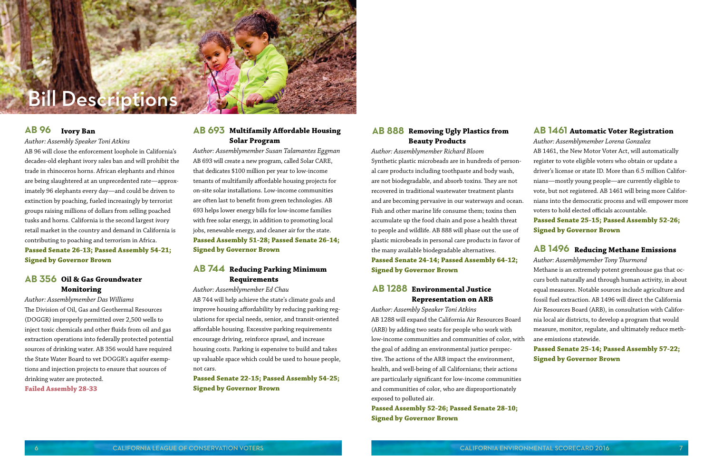*Author: Assemblymember Lorena Gonzalez* AB 1461, the New Motor Voter Act, will automatically register to vote eligible voters who obtain or update a driver's license or state ID. More than 6.5 million Californians—mostly young people—are currently eligible to vote, but not registered. AB 1461 will bring more Californians into the democratic process and will empower more voters to hold elected officials accountable.

**Passed Senate 25-15; Passed Assembly 52-26; Signed by Governor Brown**

*Author: Assemblymember Tony Thurmond* Methane is an extremely potent greenhouse gas that occurs both naturally and through human activity, in about equal measures. Notable sources include agriculture and fossil fuel extraction. AB 1496 will direct the California Air Resources Board (ARB), in consultation with California local air districts, to develop a program that would measure, monitor, regulate, and ultimately reduce methane emissions statewide.

#### **Passed Senate 25-14; Passed Assembly 57-22; Signed by Governor Brown**

#### **Removing Ugly Plastics from AB 888 Beauty Products**

#### AB 693 Multifamily Affordable Housing **Solar Program**

*Author: Assemblymember Richard Bloom* Synthetic plastic microbeads are in hundreds of personal care products including toothpaste and body wash, are not biodegradable, and absorb toxins. They are not recovered in traditional wastewater treatment plants and are becoming pervasive in our waterways and ocean. Fish and other marine life consume them; toxins then accumulate up the food chain and pose a health threat to people and wildlife. AB 888 will phase out the use of plastic microbeads in personal care products in favor of the many available biodegradable alternatives. **Passed Senate 24-14; Passed Assembly 64-12; Signed by Governor Brown**

#### **Environmental Justice AB 1288 Representation on ARB**

### **Reducing Methane Emissions AB 1496**

*Author: Assembly Speaker Toni Atkins* AB 1288 will expand the California Air Resources Board (ARB) by adding two seats for people who work with low-income communities and communities of color, with the goal of adding an environmental justice perspective. The actions of the ARB impact the environment, health, and well-being of all Californians; their actions are particularly significant for low-income communities and communities of color, who are disproportionately exposed to polluted air.

**Passed Assembly 52-26; Passed Senate 28-10; Signed by Governor Brown**

*Author: Assemblymember Susan Talamantes Eggman* AB 693 will create a new program, called Solar CARE, that dedicates \$100 million per year to low-income tenants of multifamily affordable housing projects for on-site solar installations. Low-income communities are often last to benefit from green technologies. AB 693 helps lower energy bills for low-income families with free solar energy, in addition to promoting local jobs, renewable energy, and cleaner air for the state. **Passed Assembly 51-28; Passed Senate 26-14; Signed by Governor Brown**

### **Reducing Parking Minimum AB 744Requirements**

*Author: Assemblymember Ed Chau* AB 744 will help achieve the state's climate goals and improve housing affordability by reducing parking regulations for special needs, senior, and transit-oriented affordable housing. Excessive parking requirements encourage driving, reinforce sprawl, and increase housing costs. Parking is expensive to build and takes up valuable space which could be used to house people, not cars.

**Passed Senate 22-15; Passed Assembly 54-25; Signed by Governor Brown**

*Author: Assembly Speaker Toni Atkins*

AB 96 will close the enforcement loophole in California's decades-old elephant ivory sales ban and will prohibit the trade in rhinoceros horns. African elephants and rhinos are being slaughtered at an unprecedented rate—approximately 96 elephants every day—and could be driven to extinction by poaching, fueled increasingly by terrorist groups raising millions of dollars from selling poached tusks and horns. California is the second largest ivory retail market in the country and demand in California is contributing to poaching and terrorism in Africa. **Passed Senate 26-13; Passed Assembly 54-21; Signed by Governor Brown**

#### **Ivory Ban AB 96**

#### **Oil & Gas Groundwater AB 356 Monitoring**

*Author: Assemblymember Das Williams* The Division of Oil, Gas and Geothermal Resources (DOGGR) improperly permitted over 2,500 wells to inject toxic chemicals and other fluids from oil and gas extraction operations into federally protected potential sources of drinking water. AB 356 would have required the State Water Board to vet DOGGR's aquifer exemptions and injection projects to ensure that sources of drinking water are protected. **Failed Assembly 28-33**



#### **AB 1461** Automatic Voter Registration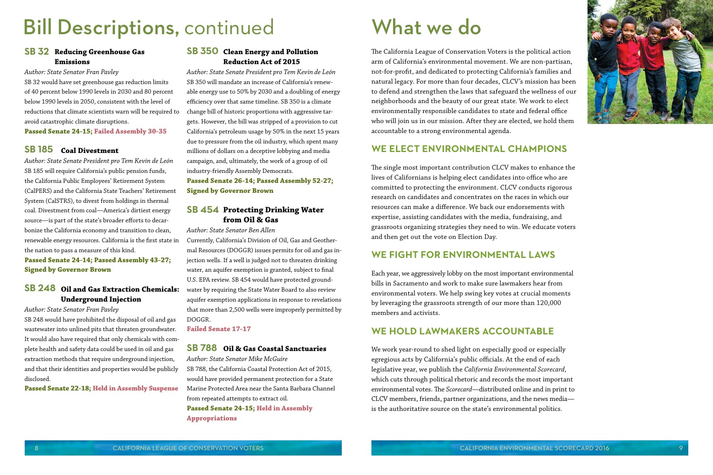#### **SB 350 Clean Energy and Pollution Reduction Act of 2015**

*Author: State Senate President pro Tem Kevin de León* SB 350 will mandate an increase of California's renewable energy use to 50% by 2030 and a doubling of energy efficiency over that same timeline. SB 350 is a climate change bill of historic proportions with aggressive targets. However, the bill was stripped of a provision to cut California's petroleum usage by 50% in the next 15 years due to pressure from the oil industry, which spent many millions of dollars on a deceptive lobbying and media campaign, and, ultimately, the work of a group of oil industry-friendly Assembly Democrats.

**Passed Senate 26-14; Passed Assembly 52-27; Signed by Governor Brown**

#### **Protecting Drinking Water SB 454 from Oil & Gas**

*Author: State Senator Ben Allen* Currently, California's Division of Oil, Gas and Geothermal Resources (DOGGR) issues permits for oil and gas injection wells. If a well is judged not to threaten drinking water, an aquifer exemption is granted, subject to final U.S. EPA review. SB 454 would have protected groundwater by requiring the State Water Board to also review aquifer exemption applications in response to revelations that more than 2,500 wells were improperly permitted by DOGGR.

**Failed Senate 17-17**

*Author: State Senator Mike McGuire* SB 788, the California Coastal Protection Act of 2015, would have provided permanent protection for a State Marine Protected Area near the Santa Barbara Channel from repeated attempts to extract oil.

**Passed Senate 24-15; Held in Assembly Appropriations**

#### **Reducing Greenhouse Gas SB 32 SB 350 Emissions**

#### *Author: State Senator Fran Pavley*

SB 32 would have set greenhouse gas reduction limits of 40 percent below 1990 levels in 2030 and 80 percent below 1990 levels in 2050, consistent with the level of reductions that climate scientists warn will be required to avoid catastrophic climate disruptions.

**Passed Senate 24-15; Failed Assembly 30-35**

#### **Oil & Gas Coastal Sanctuaries SB 788**

*Author: State Senate President pro Tem Kevin de León* SB 185 will require California's public pension funds, the California Public Employees' Retirement System (CalPERS) and the California State Teachers' Retirement System (CalSTRS), to divest from holdings in thermal coal. Divestment from coal—America's dirtiest energy source—is part of the state's broader efforts to decarbonize the California economy and transition to clean, renewable energy resources. California is the first state in the nation to pass a measure of this kind.

**Passed Senate 24-14; Passed Assembly 43-27; Signed by Governor Brown**

### **Coal Divestment SB 185**

#### **Oil and Gas Extraction Chemicals: SB 248 Underground Injection**

*Author: State Senator Fran Pavley*

SB 248 would have prohibited the disposal of oil and gas wastewater into unlined pits that threaten groundwater. It would also have required that only chemicals with complete health and safety data could be used in oil and gas extraction methods that require underground injection, and that their identities and properties would be publicly disclosed.

**Passed Senate 22-18; Held in Assembly Suspense**

# Bill Descriptions, continued

The California League of Conservation Voters is the political action arm of California's environmental movement. We are non-partisan, not-for-profit, and dedicated to protecting California's families and natural legacy. For more than four decades, CLCV's mission has been to defend and strengthen the laws that safeguard the wellness of our neighborhoods and the beauty of our great state. We work to elect environmentally responsible candidates to state and federal office who will join us in our mission. After they are elected, we hold them accountable to a strong environmental agenda.

## **WE ELECT ENVIRONMENTAL CHAMPIONS**

The single most important contribution CLCV makes to enhance the lives of Californians is helping elect candidates into office who are committed to protecting the environment. CLCV conducts rigorous research on candidates and concentrates on the races in which our resources can make a difference. We back our endorsements with expertise, assisting candidates with the media, fundraising, and grassroots organizing strategies they need to win. We educate voters and then get out the vote on Election Day.

## **WE FIGHT FOR ENVIRONMENTAL LAWS**

Each year, we aggressively lobby on the most important environmental bills in Sacramento and work to make sure lawmakers hear from environmental voters. We help swing key votes at crucial moments by leveraging the grassroots strength of our more than 120,000 members and activists.

## **WE HOLD LAWMAKERS ACCOUNTABLE**

We work year-round to shed light on especially good or especially egregious acts by California's public officials. At the end of each legislative year, we publish the *California Environmental Scorecard*, which cuts through political rhetoric and records the most important environmental votes. The *Scorecard*—distributed online and in print to CLCV members, friends, partner organizations, and the news media is the authoritative source on the state's environmental politics.



# What we do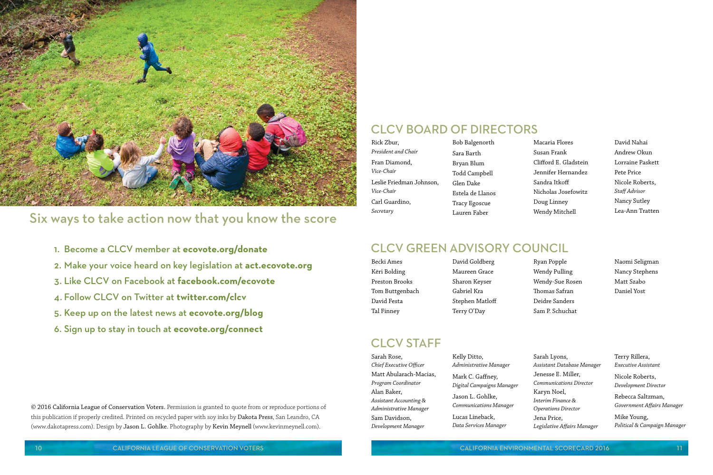Becki Ames Këri Bolding Preston Brooks Tom Buttgenbach David Festa Tal Finney

#### David Goldberg Maureen Grace Sharon Keyser Gabriel Kra Stephen Matloff Terry O'Day

## **CLCV STAFF**

Ryan Popple Wendy Pulling Wendy-Sue Rosen Thomas Safran Deidre Sanders Sam P. Schuchat

Naomi Seligman Nancy Stephens Matt Szabo Daniel Yost

## CLCV Green ADVISORY COUNCIL

Macaria Flores Susan Frank Clifford E. Gladstein Jennifer Hernandez Sandra Itkoff Nicholas Josefowitz Doug Linney Wendy Mitchell

David Nahai Andrew Okun Lorraine Paskett Pete Price Nicole Roberts, *Staff Advisor* Nancy Sutley Lea-Ann Tratten

## CLCV Board of Directors

| Rick Zbur,               | Bob Balgenorth   |
|--------------------------|------------------|
| President and Chair      | Sara Barth       |
| Fran Diamond,            | Bryan Blum       |
| Vice-Chair               | Todd Campbell    |
| Leslie Friedman Johnson, | Glen Dake        |
| Vice-Chair               | Estela de Llanos |
| Carl Guardino,           | Tracy Egoscue    |
| Secretary                | Lauren Faber     |

Sarah Rose, *Chief Executive Officer* Matt Abularach-Macias, *Program Coordinator* Alan Baker, *Assistant Accounting & Administrative Manager* Sam Davidson, *Development Manager*

Kelly Ditto, *Administrative Manager*

Mark C. Gaffney, *Digital Campaigns Manager*

Jason L. Gohlke, *Communications Manager*

Lucas Lineback, *Data Services Manager* Sarah Lyons, *Assistant Database Manager* Jenesse E. Miller, *Communications Director* Karyn Noel, *Interim Finance & Operations Director* Jena Price, *Legislative Affairs Manager*

Terry Rillera, *Executive Assistant*

Nicole Roberts, *Development Director*

Rebecca Saltzman, *Government Affairs Manager*

Mike Young, *Political & Campaign Manager*

- 1. Become a CLCV member at **ecovote.org/donate**
- 2. Make your voice heard on key legislation at **act.ecovote.org**
- 3. Like CLCV on Facebook at **facebook.com/ecovote**
- 4. Follow CLCV on Twitter at **twitter.com/clcv**
- 5. Keep up on the latest news at **ecovote.org/blog**
- 6. Sign up to stay in touch at **ecovote.org/connect**



# Six ways to take action now that you know the score

© 2016 California League of Conservation Voters. Permission is granted to quote from or reproduce portions of this publication if properly credited. Printed on recycled paper with soy inks by Dakota Press, San Leandro, CA (www.dakotapress.com). Design by Jason L. Gohlke. Photography by Kevin Meynell (www.kevinmeynell.com).